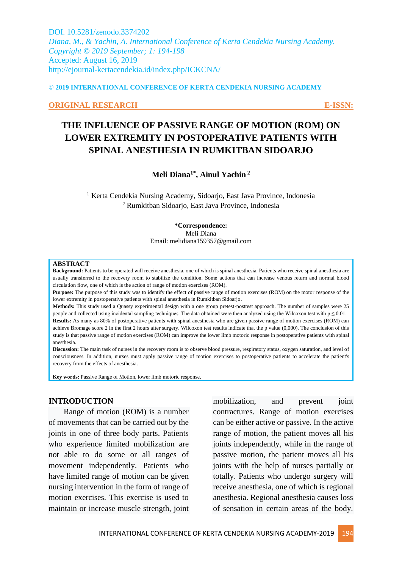DOI. 10.5281/zenodo.3374202 *Diana, M., & Yachin, A. International Conference of Kerta Cendekia Nursing Academy. Copyright © 2019 September; 1: 194-198* Accepted: August 16, 2019 http://ejournal-kertacendekia.id/index.php/ICKCNA/

#### © **2019 INTERNATIONAL CONFERENCE OF KERTA CENDEKIA NURSING ACADEMY**

#### **ORIGINAL RESEARCH E-ISSN:**

# **THE INFLUENCE OF PASSIVE RANGE OF MOTION (ROM) ON LOWER EXTREMITY IN POSTOPERATIVE PATIENTS WITH SPINAL ANESTHESIA IN RUMKITBAN SIDOARJO**

# **Meli Diana1\* , Ainul Yachin <sup>2</sup>**

<sup>1</sup> Kerta Cendekia Nursing Academy, Sidoarjo, East Java Province, Indonesia <sup>2</sup> Rumkitban Sidoarjo, East Java Province, Indonesia

> **\*Correspondence:** Meli Diana Email: melidiana159357@gmail.com

#### **ABSTRACT**

**Background:** Patients to be operated will receive anesthesia, one of which is spinal anesthesia. Patients who receive spinal anesthesia are usually transferred to the recovery room to stabilize the condition. Some actions that can increase venous return and normal blood circulation flow, one of which is the action of range of motion exercises (ROM).

**Purpose:** The purpose of this study was to identify the effect of passive range of motion exercises (ROM) on the motor response of the lower extremity in postoperative patients with spinal anesthesia in Rumkitban Sidoarjo.

**Methods:** This study used a Quassy experimental design with a one group pretest-posttest approach. The number of samples were 25 people and collected using incidental sampling techniques. The data obtained were then analyzed using the Wilcoxon test with  $p \le 0.01$ . **Results:** As many as 80% of postoperative patients with spinal anesthesia who are given passive range of motion exercises (ROM) can achieve Bromage score 2 in the first 2 hours after surgery. Wilcoxon test results indicate that the p value (0,000). The conclusion of this study is that passive range of motion exercises (ROM) can improve the lower limb motoric response in postoperative patients with spinal anesthesia.

**Discussion:** The main task of nurses in the recovery room is to observe blood pressure, respiratory status, oxygen saturation, and level of consciousness. In addition, nurses must apply passive range of motion exercises to postoperative patients to accelerate the patient's recovery from the effects of anesthesia.

**Key words:** Passive Range of Motion, lower limb motoric response.

#### **INTRODUCTION**

Range of motion (ROM) is a number of movements that can be carried out by the joints in one of three body parts. Patients who experience limited mobilization are not able to do some or all ranges of movement independently. Patients who have limited range of motion can be given nursing intervention in the form of range of motion exercises. This exercise is used to maintain or increase muscle strength, joint

mobilization, and prevent joint contractures. Range of motion exercises can be either active or passive. In the active range of motion, the patient moves all his joints independently, while in the range of passive motion, the patient moves all his joints with the help of nurses partially or totally. Patients who undergo surgery will receive anesthesia, one of which is regional anesthesia. Regional anesthesia causes loss of sensation in certain areas of the body.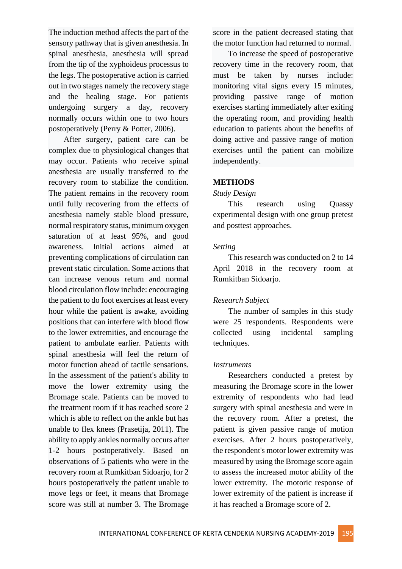The induction method affects the part of the sensory pathway that is given anesthesia. In spinal anesthesia, anesthesia will spread from the tip of the xyphoideus processus to the legs. The postoperative action is carried out in two stages namely the recovery stage and the healing stage. For patients undergoing surgery a day, recovery normally occurs within one to two hours postoperatively (Perry & Potter, 2006).

After surgery, patient care can be complex due to physiological changes that may occur. Patients who receive spinal anesthesia are usually transferred to the recovery room to stabilize the condition. The patient remains in the recovery room until fully recovering from the effects of anesthesia namely stable blood pressure, normal respiratory status, minimum oxygen saturation of at least 95%, and good awareness. Initial actions aimed at preventing complications of circulation can prevent static circulation. Some actions that can increase venous return and normal blood circulation flow include: encouraging the patient to do foot exercises at least every hour while the patient is awake, avoiding positions that can interfere with blood flow to the lower extremities, and encourage the patient to ambulate earlier. Patients with spinal anesthesia will feel the return of motor function ahead of tactile sensations. In the assessment of the patient's ability to move the lower extremity using the Bromage scale. Patients can be moved to the treatment room if it has reached score 2 which is able to reflect on the ankle but has unable to flex knees (Prasetija, 2011). The ability to apply ankles normally occurs after 1-2 hours postoperatively. Based on observations of 5 patients who were in the recovery room at Rumkitban Sidoarjo, for 2 hours postoperatively the patient unable to move legs or feet, it means that Bromage score was still at number 3. The Bromage score in the patient decreased stating that the motor function had returned to normal.

To increase the speed of postoperative recovery time in the recovery room, that must be taken by nurses include: monitoring vital signs every 15 minutes, providing passive range of motion exercises starting immediately after exiting the operating room, and providing health education to patients about the benefits of doing active and passive range of motion exercises until the patient can mobilize independently.

# **METHODS**

### *Study Design*

This research using Quassy experimental design with one group pretest and posttest approaches.

### *Setting*

This research was conducted on 2 to 14 April 2018 in the recovery room at Rumkitban Sidoarjo.

# *Research Subject*

The number of samples in this study were 25 respondents. Respondents were collected using incidental sampling techniques.

### *Instruments*

Researchers conducted a pretest by measuring the Bromage score in the lower extremity of respondents who had lead surgery with spinal anesthesia and were in the recovery room. After a pretest, the patient is given passive range of motion exercises. After 2 hours postoperatively, the respondent's motor lower extremity was measured by using the Bromage score again to assess the increased motor ability of the lower extremity. The motoric response of lower extremity of the patient is increase if it has reached a Bromage score of 2.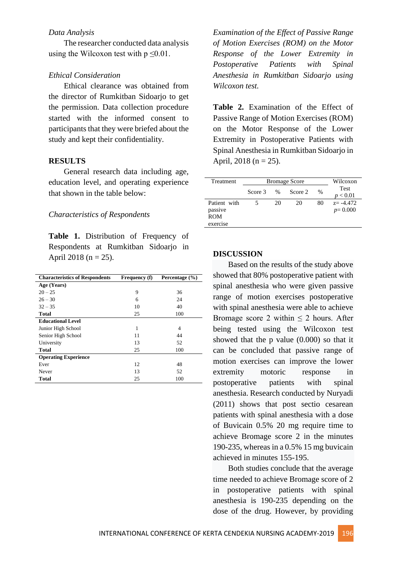#### *Data Analysis*

The researcher conducted data analysis using the Wilcoxon test with  $p \le 0.01$ .

#### *Ethical Consideration*

Ethical clearance was obtained from the director of Rumkitban Sidoarjo to get the permission. Data collection procedure started with the informed consent to participants that they were briefed about the study and kept their confidentiality.

## **RESULTS**

General research data including age, education level, and operating experience that shown in the table below:

### *Characteristics of Respondents*

**Table 1.** Distribution of Frequency of Respondents at Rumkitban Sidoarjo in April 2018 ( $n = 25$ ).

| <b>Characteristics of Respondents</b> | Frequency (f) | Percentage (%) |
|---------------------------------------|---------------|----------------|
| Age (Years)                           |               |                |
| $20 - 25$                             | 9             | 36             |
| $26 - 30$                             | 6             | 24             |
| $32 - 35$                             | 10            | 40             |
| Total                                 | 25            | 100            |
| <b>Educational Level</b>              |               |                |
| Junior High School                    | 1             | 4              |
| Senior High School                    | 11            | 44             |
| University                            | 13            | 52             |
| <b>Total</b>                          | 25            | 100            |
| <b>Operating Experience</b>           |               |                |
| Ever                                  | 12            | 48             |
| Never                                 | 13            | 52             |
| <b>Total</b>                          | 25            | 100            |

*Examination of the Effect of Passive Range of Motion Exercises (ROM) on the Motor Response of the Lower Extremity in Postoperative Patients with Spinal Anesthesia in Rumkitban Sidoarjo using Wilcoxon test.*

**Table 2.** Examination of the Effect of Passive Range of Motion Exercises (ROM) on the Motor Response of the Lower Extremity in Postoperative Patients with Spinal Anesthesia in Rumkitban Sidoarjo in April,  $2018$  (n = 25).

| Treatment    | <b>Bromage Score</b> |      |         |      | Wilcoxon         |
|--------------|----------------------|------|---------|------|------------------|
|              | Score 3              | $\%$ | Score 2 | $\%$ | Test<br>p < 0.01 |
| Patient with |                      | 20   | 20      | 80   | $z = -4.472$     |
| passive      |                      |      |         |      | $p=0.000$        |
| <b>ROM</b>   |                      |      |         |      |                  |
| exercise     |                      |      |         |      |                  |

#### **DISCUSSION**

Based on the results of the study above showed that 80% postoperative patient with spinal anesthesia who were given passive range of motion exercises postoperative with spinal anesthesia were able to achieve Bromage score 2 within  $\leq$  2 hours. After being tested using the Wilcoxon test showed that the p value (0.000) so that it can be concluded that passive range of motion exercises can improve the lower extremity motoric response in postoperative patients with spinal anesthesia. Research conducted by Nuryadi (2011) shows that post sectio cesarean patients with spinal anesthesia with a dose of Buvicain 0.5% 20 mg require time to achieve Bromage score 2 in the minutes 190-235, whereas in a 0.5% 15 mg buvicain achieved in minutes 155-195.

Both studies conclude that the average time needed to achieve Bromage score of 2 in postoperative patients with spinal anesthesia is 190-235 depending on the dose of the drug. However, by providing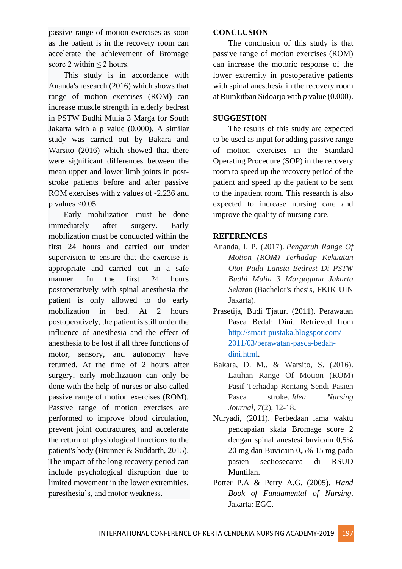passive range of motion exercises as soon as the patient is in the recovery room can accelerate the achievement of Bromage score 2 within  $\leq$  2 hours.

This study is in accordance with Ananda's research (2016) which shows that range of motion exercises (ROM) can increase muscle strength in elderly bedrest in PSTW Budhi Mulia 3 Marga for South Jakarta with a p value (0.000). A similar study was carried out by Bakara and Warsito (2016) which showed that there were significant differences between the mean upper and lower limb joints in poststroke patients before and after passive ROM exercises with z values of -2.236 and p values  $< 0.05$ .

Early mobilization must be done immediately after surgery. Early mobilization must be conducted within the first 24 hours and carried out under supervision to ensure that the exercise is appropriate and carried out in a safe manner. In the first 24 hours postoperatively with spinal anesthesia the patient is only allowed to do early mobilization in bed. At 2 hours postoperatively, the patient is still under the influence of anesthesia and the effect of anesthesia to be lost if all three functions of motor, sensory, and autonomy have returned. At the time of 2 hours after surgery, early mobilization can only be done with the help of nurses or also called passive range of motion exercises (ROM). Passive range of motion exercises are performed to improve blood circulation, prevent joint contractures, and accelerate the return of physiological functions to the patient's body (Brunner & Suddarth, 2015). The impact of the long recovery period can include psychological disruption due to limited movement in the lower extremities, paresthesia's, and motor weakness.

### **CONCLUSION**

The conclusion of this study is that passive range of motion exercises (ROM) can increase the motoric response of the lower extremity in postoperative patients with spinal anesthesia in the recovery room at Rumkitban Sidoarjo with *p* value (0.000).

### **SUGGESTION**

The results of this study are expected to be used as input for adding passive range of motion exercises in the Standard Operating Procedure (SOP) in the recovery room to speed up the recovery period of the patient and speed up the patient to be sent to the inpatient room. This research is also expected to increase nursing care and improve the quality of nursing care.

### **REFERENCES**

- Ananda, I. P. (2017). *Pengaruh Range Of Motion (ROM) Terhadap Kekuatan Otot Pada Lansia Bedrest Di PSTW Budhi Mulia 3 Margaguna Jakarta Selatan* (Bachelor's thesis, FKIK UIN Jakarta).
- Prasetija, Budi Tjatur. (2011). Perawatan Pasca Bedah Dini. Retrieved from [http://smart-pustaka.blogspot.com/](http://smart-pustaka.blogspot.com/%202011/03/perawatan-pasca-bedah-dini.html)  [2011/03/perawatan-pasca-bedah](http://smart-pustaka.blogspot.com/%202011/03/perawatan-pasca-bedah-dini.html)[dini.html.](http://smart-pustaka.blogspot.com/%202011/03/perawatan-pasca-bedah-dini.html)
- Bakara, D. M., & Warsito, S. (2016). Latihan Range Of Motion (ROM) Pasif Terhadap Rentang Sendi Pasien Pasca stroke. *Idea Nursing Journal*, *7*(2), 12-18.
- Nuryadi, (2011). Perbedaan lama waktu pencapaian skala Bromage score 2 dengan spinal anestesi buvicain 0,5% 20 mg dan Buvicain 0,5% 15 mg pada pasien sectiosecarea di RSUD Muntilan.
- Potter P.A & Perry A.G. (2005)*. Hand Book of Fundamental of Nursing*. Jakarta: EGC.